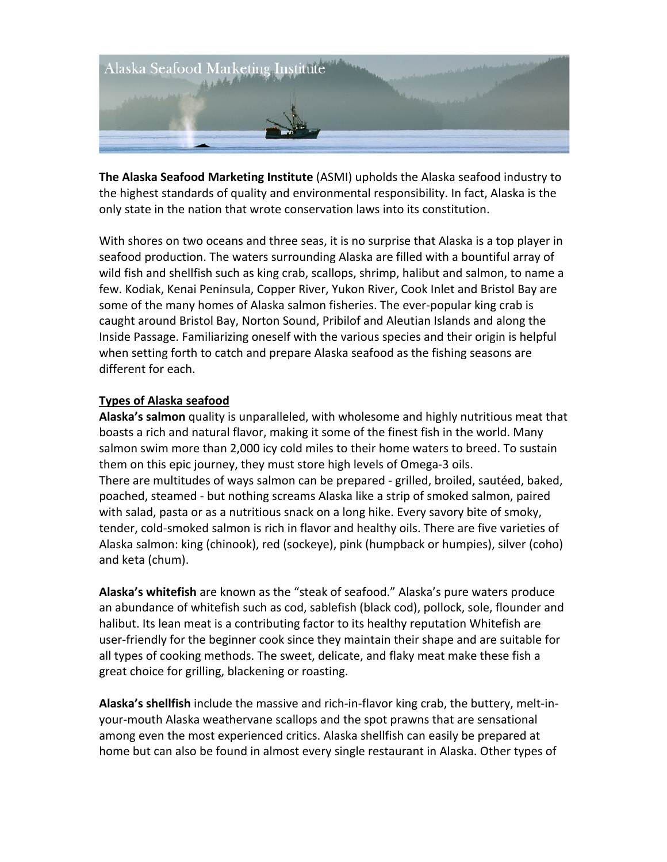

**The Alaska Seafood Marketing Institute** (ASMI) upholds the Alaska seafood industry to the highest standards of quality and environmental responsibility. In fact, Alaska is the only state in the nation that wrote conservation laws into its constitution.

With shores on two oceans and three seas, it is no surprise that Alaska is a top player in seafood production. The waters surrounding Alaska are filled with a bountiful array of wild fish and shellfish such as king crab, scallops, shrimp, halibut and salmon, to name a few. Kodiak, Kenai Peninsula, Copper River, Yukon River, Cook Inlet and Bristol Bay are some of the many homes of Alaska salmon fisheries. The ever-popular king crab is caught around Bristol Bay, Norton Sound, Pribilof and Aleutian Islands and along the Inside Passage. Familiarizing oneself with the various species and their origin is helpful when setting forth to catch and prepare Alaska seafood as the fishing seasons are different for each.

#### **Types of Alaska seafood**

**Alaska's salmon** quality is unparalleled, with wholesome and highly nutritious meat that boasts a rich and natural flavor, making it some of the finest fish in the world. Many salmon swim more than 2,000 icy cold miles to their home waters to breed. To sustain them on this epic journey, they must store high levels of Omega-3 oils. There are multitudes of ways salmon can be prepared - grilled, broiled, sautéed, baked, poached, steamed - but nothing screams Alaska like a strip of smoked salmon, paired with salad, pasta or as a nutritious snack on a long hike. Every savory bite of smoky, tender, cold-smoked salmon is rich in flavor and healthy oils. There are five varieties of Alaska salmon: king (chinook), red (sockeye), pink (humpback or humpies), silver (coho) and keta (chum).

Alaska's whitefish are known as the "steak of seafood." Alaska's pure waters produce an abundance of whitefish such as cod, sablefish (black cod), pollock, sole, flounder and halibut. Its lean meat is a contributing factor to its healthy reputation Whitefish are user-friendly for the beginner cook since they maintain their shape and are suitable for all types of cooking methods. The sweet, delicate, and flaky meat make these fish a great choice for grilling, blackening or roasting.

**Alaska's shellfish** include the massive and rich-in-flavor king crab, the buttery, melt-inyour-mouth Alaska weathervane scallops and the spot prawns that are sensational among even the most experienced critics. Alaska shellfish can easily be prepared at home but can also be found in almost every single restaurant in Alaska. Other types of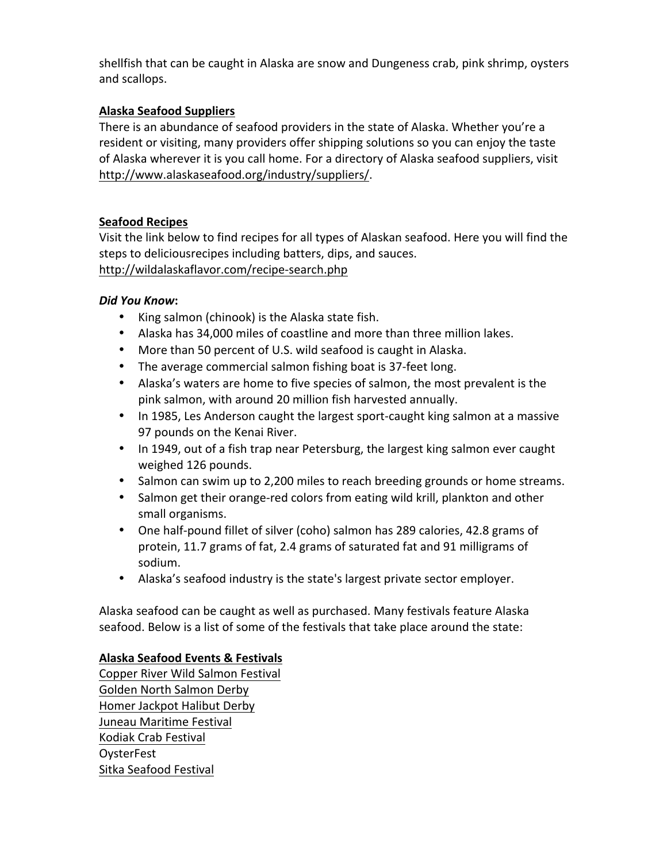shellfish that can be caught in Alaska are snow and Dungeness crab, pink shrimp, oysters and scallops.

# **Alaska Seafood Suppliers**

There is an abundance of seafood providers in the state of Alaska. Whether you're a resident or visiting, many providers offer shipping solutions so you can enjoy the taste of Alaska wherever it is you call home. For a directory of Alaska seafood suppliers, visit http://www.alaskaseafood.org/industry/suppliers/. 

# **Seafood Recipes**

Visit the link below to find recipes for all types of Alaskan seafood. Here you will find the steps to deliciousrecipes including batters, dips, and sauces. http://wildalaskaflavor.com/recipe-search.php

### *Did You Know***:**

- King salmon (chinook) is the Alaska state fish.
- Alaska has 34,000 miles of coastline and more than three million lakes.
- More than 50 percent of U.S. wild seafood is caught in Alaska.
- The average commercial salmon fishing boat is 37-feet long.
- Alaska's waters are home to five species of salmon, the most prevalent is the pink salmon, with around 20 million fish harvested annually.
- In 1985, Les Anderson caught the largest sport-caught king salmon at a massive 97 pounds on the Kenai River.
- In 1949, out of a fish trap near Petersburg, the largest king salmon ever caught weighed 126 pounds.
- Salmon can swim up to 2,200 miles to reach breeding grounds or home streams.
- Salmon get their orange-red colors from eating wild krill, plankton and other small organisms.
- One half-pound fillet of silver (coho) salmon has 289 calories, 42.8 grams of protein, 11.7 grams of fat, 2.4 grams of saturated fat and 91 milligrams of sodium.
- Alaska's seafood industry is the state's largest private sector employer.

Alaska seafood can be caught as well as purchased. Many festivals feature Alaska seafood. Below is a list of some of the festivals that take place around the state:

### **Alaska Seafood Events & Festivals**

Copper River Wild Salmon Festival Golden North Salmon Derby Homer Jackpot Halibut Derby Juneau Maritime Festival Kodiak Crab Festival **OysterFest** Sitka Seafood Festival